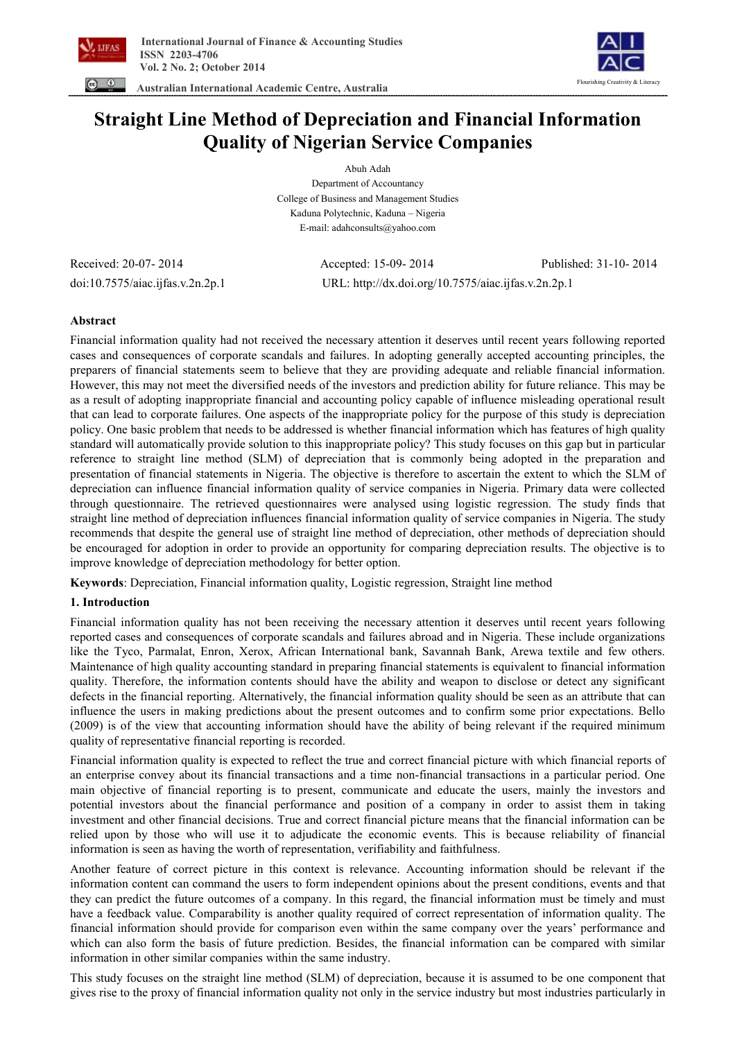



 **Australian International Academic Centre, Australia** 

# **Straight Line Method of Depreciation and Financial Information Quality of Nigerian Service Companies**

Abuh Adah Department of Accountancy College of Business and Management Studies Kaduna Polytechnic, Kaduna – Nigeria E-mail: adahconsults@yahoo.com

Received: 20-07- 2014 Accepted: 15-09- 2014 Published: 31-10- 2014 doi:10.7575/aiac.ijfas.v.2n.2p.1 URL: http://dx.doi.org/10.7575/aiac.ijfas.v.2n.2p.1

# **Abstract**

Financial information quality had not received the necessary attention it deserves until recent years following reported cases and consequences of corporate scandals and failures. In adopting generally accepted accounting principles, the preparers of financial statements seem to believe that they are providing adequate and reliable financial information. However, this may not meet the diversified needs of the investors and prediction ability for future reliance. This may be as a result of adopting inappropriate financial and accounting policy capable of influence misleading operational result that can lead to corporate failures. One aspects of the inappropriate policy for the purpose of this study is depreciation policy. One basic problem that needs to be addressed is whether financial information which has features of high quality standard will automatically provide solution to this inappropriate policy? This study focuses on this gap but in particular reference to straight line method (SLM) of depreciation that is commonly being adopted in the preparation and presentation of financial statements in Nigeria. The objective is therefore to ascertain the extent to which the SLM of depreciation can influence financial information quality of service companies in Nigeria. Primary data were collected through questionnaire. The retrieved questionnaires were analysed using logistic regression. The study finds that straight line method of depreciation influences financial information quality of service companies in Nigeria. The study recommends that despite the general use of straight line method of depreciation, other methods of depreciation should be encouraged for adoption in order to provide an opportunity for comparing depreciation results. The objective is to improve knowledge of depreciation methodology for better option.

**Keywords**: Depreciation, Financial information quality, Logistic regression, Straight line method

# **1. Introduction**

Financial information quality has not been receiving the necessary attention it deserves until recent years following reported cases and consequences of corporate scandals and failures abroad and in Nigeria. These include organizations like the Tyco, Parmalat, Enron, Xerox, African International bank, Savannah Bank, Arewa textile and few others. Maintenance of high quality accounting standard in preparing financial statements is equivalent to financial information quality. Therefore, the information contents should have the ability and weapon to disclose or detect any significant defects in the financial reporting. Alternatively, the financial information quality should be seen as an attribute that can influence the users in making predictions about the present outcomes and to confirm some prior expectations. Bello (2009) is of the view that accounting information should have the ability of being relevant if the required minimum quality of representative financial reporting is recorded.

Financial information quality is expected to reflect the true and correct financial picture with which financial reports of an enterprise convey about its financial transactions and a time non-financial transactions in a particular period. One main objective of financial reporting is to present, communicate and educate the users, mainly the investors and potential investors about the financial performance and position of a company in order to assist them in taking investment and other financial decisions. True and correct financial picture means that the financial information can be relied upon by those who will use it to adjudicate the economic events. This is because reliability of financial information is seen as having the worth of representation, verifiability and faithfulness.

Another feature of correct picture in this context is relevance. Accounting information should be relevant if the information content can command the users to form independent opinions about the present conditions, events and that they can predict the future outcomes of a company. In this regard, the financial information must be timely and must have a feedback value. Comparability is another quality required of correct representation of information quality. The financial information should provide for comparison even within the same company over the years' performance and which can also form the basis of future prediction. Besides, the financial information can be compared with similar information in other similar companies within the same industry.

This study focuses on the straight line method (SLM) of depreciation, because it is assumed to be one component that gives rise to the proxy of financial information quality not only in the service industry but most industries particularly in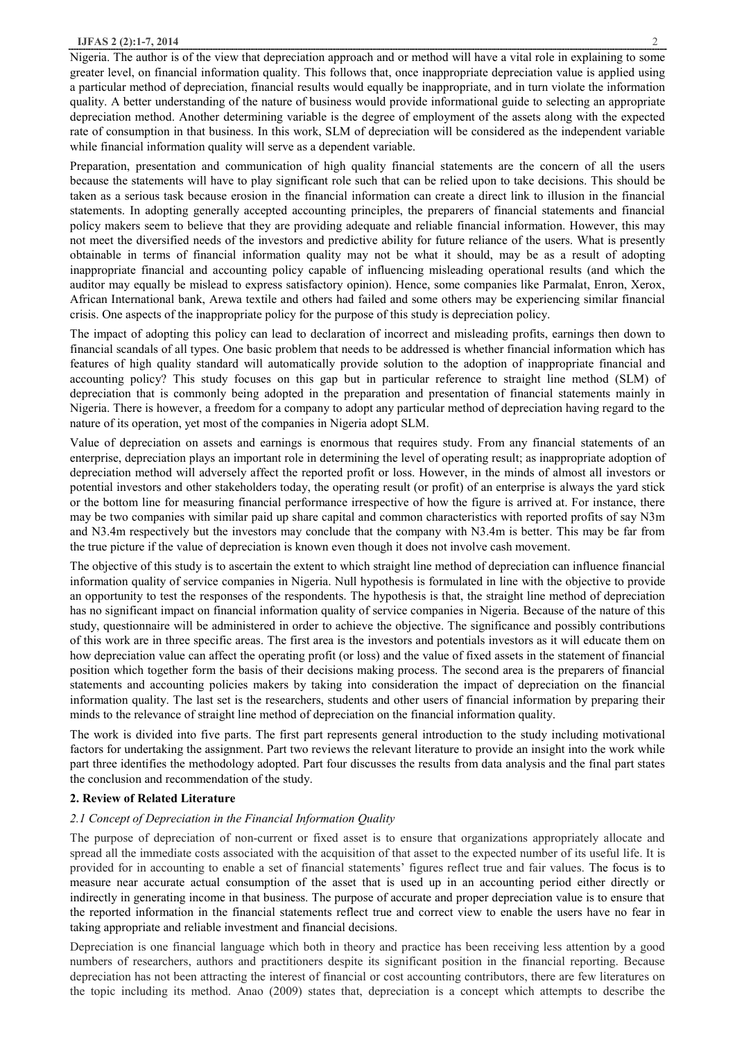Nigeria. The author is of the view that depreciation approach and or method will have a vital role in explaining to some greater level, on financial information quality. This follows that, once inappropriate depreciation value is applied using a particular method of depreciation, financial results would equally be inappropriate, and in turn violate the information quality. A better understanding of the nature of business would provide informational guide to selecting an appropriate depreciation method. Another determining variable is the degree of employment of the assets along with the expected rate of consumption in that business. In this work, SLM of depreciation will be considered as the independent variable while financial information quality will serve as a dependent variable.

Preparation, presentation and communication of high quality financial statements are the concern of all the users because the statements will have to play significant role such that can be relied upon to take decisions. This should be taken as a serious task because erosion in the financial information can create a direct link to illusion in the financial statements. In adopting generally accepted accounting principles, the preparers of financial statements and financial policy makers seem to believe that they are providing adequate and reliable financial information. However, this may not meet the diversified needs of the investors and predictive ability for future reliance of the users. What is presently obtainable in terms of financial information quality may not be what it should, may be as a result of adopting inappropriate financial and accounting policy capable of influencing misleading operational results (and which the auditor may equally be mislead to express satisfactory opinion). Hence, some companies like Parmalat, Enron, Xerox, African International bank, Arewa textile and others had failed and some others may be experiencing similar financial crisis. One aspects of the inappropriate policy for the purpose of this study is depreciation policy.

The impact of adopting this policy can lead to declaration of incorrect and misleading profits, earnings then down to financial scandals of all types. One basic problem that needs to be addressed is whether financial information which has features of high quality standard will automatically provide solution to the adoption of inappropriate financial and accounting policy? This study focuses on this gap but in particular reference to straight line method (SLM) of depreciation that is commonly being adopted in the preparation and presentation of financial statements mainly in Nigeria. There is however, a freedom for a company to adopt any particular method of depreciation having regard to the nature of its operation, yet most of the companies in Nigeria adopt SLM.

Value of depreciation on assets and earnings is enormous that requires study. From any financial statements of an enterprise, depreciation plays an important role in determining the level of operating result; as inappropriate adoption of depreciation method will adversely affect the reported profit or loss. However, in the minds of almost all investors or potential investors and other stakeholders today, the operating result (or profit) of an enterprise is always the yard stick or the bottom line for measuring financial performance irrespective of how the figure is arrived at. For instance, there may be two companies with similar paid up share capital and common characteristics with reported profits of say N3m and N3.4m respectively but the investors may conclude that the company with N3.4m is better. This may be far from the true picture if the value of depreciation is known even though it does not involve cash movement.

The objective of this study is to ascertain the extent to which straight line method of depreciation can influence financial information quality of service companies in Nigeria. Null hypothesis is formulated in line with the objective to provide an opportunity to test the responses of the respondents. The hypothesis is that, the straight line method of depreciation has no significant impact on financial information quality of service companies in Nigeria. Because of the nature of this study, questionnaire will be administered in order to achieve the objective. The significance and possibly contributions of this work are in three specific areas. The first area is the investors and potentials investors as it will educate them on how depreciation value can affect the operating profit (or loss) and the value of fixed assets in the statement of financial position which together form the basis of their decisions making process. The second area is the preparers of financial statements and accounting policies makers by taking into consideration the impact of depreciation on the financial information quality. The last set is the researchers, students and other users of financial information by preparing their minds to the relevance of straight line method of depreciation on the financial information quality.

The work is divided into five parts. The first part represents general introduction to the study including motivational factors for undertaking the assignment. Part two reviews the relevant literature to provide an insight into the work while part three identifies the methodology adopted. Part four discusses the results from data analysis and the final part states the conclusion and recommendation of the study.

#### **2. Review of Related Literature**

# *2.1 Concept of Depreciation in the Financial Information Quality*

The purpose of depreciation of non-current or fixed asset is to ensure that organizations appropriately allocate and spread all the immediate costs associated with the acquisition of that asset to the expected number of its useful life. It is provided for in accounting to enable a set of financial statements' figures reflect true and fair values. The focus is to measure near accurate actual consumption of the asset that is used up in an accounting period either directly or indirectly in generating income in that business. The purpose of accurate and proper depreciation value is to ensure that the reported information in the financial statements reflect true and correct view to enable the users have no fear in taking appropriate and reliable investment and financial decisions.

Depreciation is one financial language which both in theory and practice has been receiving less attention by a good numbers of researchers, authors and practitioners despite its significant position in the financial reporting. Because depreciation has not been attracting the interest of financial or cost accounting contributors, there are few literatures on the topic including its method. Anao (2009) states that, depreciation is a concept which attempts to describe the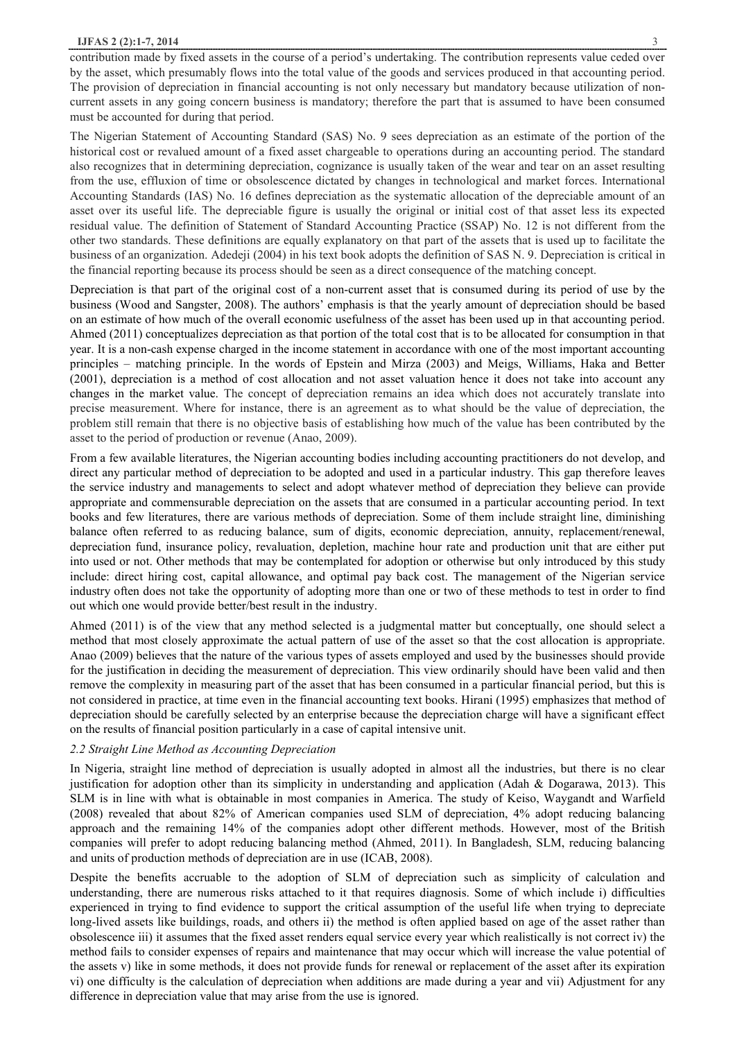### **IJFAS 2 (2):1-7, 2014** 3

contribution made by fixed assets in the course of a period's undertaking. The contribution represents value ceded over by the asset, which presumably flows into the total value of the goods and services produced in that accounting period. The provision of depreciation in financial accounting is not only necessary but mandatory because utilization of noncurrent assets in any going concern business is mandatory; therefore the part that is assumed to have been consumed must be accounted for during that period.

The Nigerian Statement of Accounting Standard (SAS) No. 9 sees depreciation as an estimate of the portion of the historical cost or revalued amount of a fixed asset chargeable to operations during an accounting period. The standard also recognizes that in determining depreciation, cognizance is usually taken of the wear and tear on an asset resulting from the use, effluxion of time or obsolescence dictated by changes in technological and market forces. International Accounting Standards (IAS) No. 16 defines depreciation as the systematic allocation of the depreciable amount of an asset over its useful life. The depreciable figure is usually the original or initial cost of that asset less its expected residual value. The definition of Statement of Standard Accounting Practice (SSAP) No. 12 is not different from the other two standards. These definitions are equally explanatory on that part of the assets that is used up to facilitate the business of an organization. Adedeji (2004) in his text book adopts the definition of SAS N. 9. Depreciation is critical in the financial reporting because its process should be seen as a direct consequence of the matching concept.

Depreciation is that part of the original cost of a non-current asset that is consumed during its period of use by the business (Wood and Sangster, 2008). The authors' emphasis is that the yearly amount of depreciation should be based on an estimate of how much of the overall economic usefulness of the asset has been used up in that accounting period. Ahmed (2011) conceptualizes depreciation as that portion of the total cost that is to be allocated for consumption in that year. It is a non-cash expense charged in the income statement in accordance with one of the most important accounting principles – matching principle. In the words of Epstein and Mirza (2003) and Meigs, Williams, Haka and Better (2001), depreciation is a method of cost allocation and not asset valuation hence it does not take into account any changes in the market value. The concept of depreciation remains an idea which does not accurately translate into precise measurement. Where for instance, there is an agreement as to what should be the value of depreciation, the problem still remain that there is no objective basis of establishing how much of the value has been contributed by the asset to the period of production or revenue (Anao, 2009).

From a few available literatures, the Nigerian accounting bodies including accounting practitioners do not develop, and direct any particular method of depreciation to be adopted and used in a particular industry. This gap therefore leaves the service industry and managements to select and adopt whatever method of depreciation they believe can provide appropriate and commensurable depreciation on the assets that are consumed in a particular accounting period. In text books and few literatures, there are various methods of depreciation. Some of them include straight line, diminishing balance often referred to as reducing balance, sum of digits, economic depreciation, annuity, replacement/renewal, depreciation fund, insurance policy, revaluation, depletion, machine hour rate and production unit that are either put into used or not. Other methods that may be contemplated for adoption or otherwise but only introduced by this study include: direct hiring cost, capital allowance, and optimal pay back cost. The management of the Nigerian service industry often does not take the opportunity of adopting more than one or two of these methods to test in order to find out which one would provide better/best result in the industry.

Ahmed (2011) is of the view that any method selected is a judgmental matter but conceptually, one should select a method that most closely approximate the actual pattern of use of the asset so that the cost allocation is appropriate. Anao (2009) believes that the nature of the various types of assets employed and used by the businesses should provide for the justification in deciding the measurement of depreciation. This view ordinarily should have been valid and then remove the complexity in measuring part of the asset that has been consumed in a particular financial period, but this is not considered in practice, at time even in the financial accounting text books. Hirani (1995) emphasizes that method of depreciation should be carefully selected by an enterprise because the depreciation charge will have a significant effect on the results of financial position particularly in a case of capital intensive unit.

## *2.2 Straight Line Method as Accounting Depreciation*

In Nigeria, straight line method of depreciation is usually adopted in almost all the industries, but there is no clear justification for adoption other than its simplicity in understanding and application (Adah & Dogarawa, 2013). This SLM is in line with what is obtainable in most companies in America. The study of Keiso, Waygandt and Warfield (2008) revealed that about 82% of American companies used SLM of depreciation, 4% adopt reducing balancing approach and the remaining 14% of the companies adopt other different methods. However, most of the British companies will prefer to adopt reducing balancing method (Ahmed, 2011). In Bangladesh, SLM, reducing balancing and units of production methods of depreciation are in use (ICAB, 2008).

Despite the benefits accruable to the adoption of SLM of depreciation such as simplicity of calculation and understanding, there are numerous risks attached to it that requires diagnosis. Some of which include i) difficulties experienced in trying to find evidence to support the critical assumption of the useful life when trying to depreciate long-lived assets like buildings, roads, and others ii) the method is often applied based on age of the asset rather than obsolescence iii) it assumes that the fixed asset renders equal service every year which realistically is not correct iv) the method fails to consider expenses of repairs and maintenance that may occur which will increase the value potential of the assets v) like in some methods, it does not provide funds for renewal or replacement of the asset after its expiration vi) one difficulty is the calculation of depreciation when additions are made during a year and vii) Adjustment for any difference in depreciation value that may arise from the use is ignored.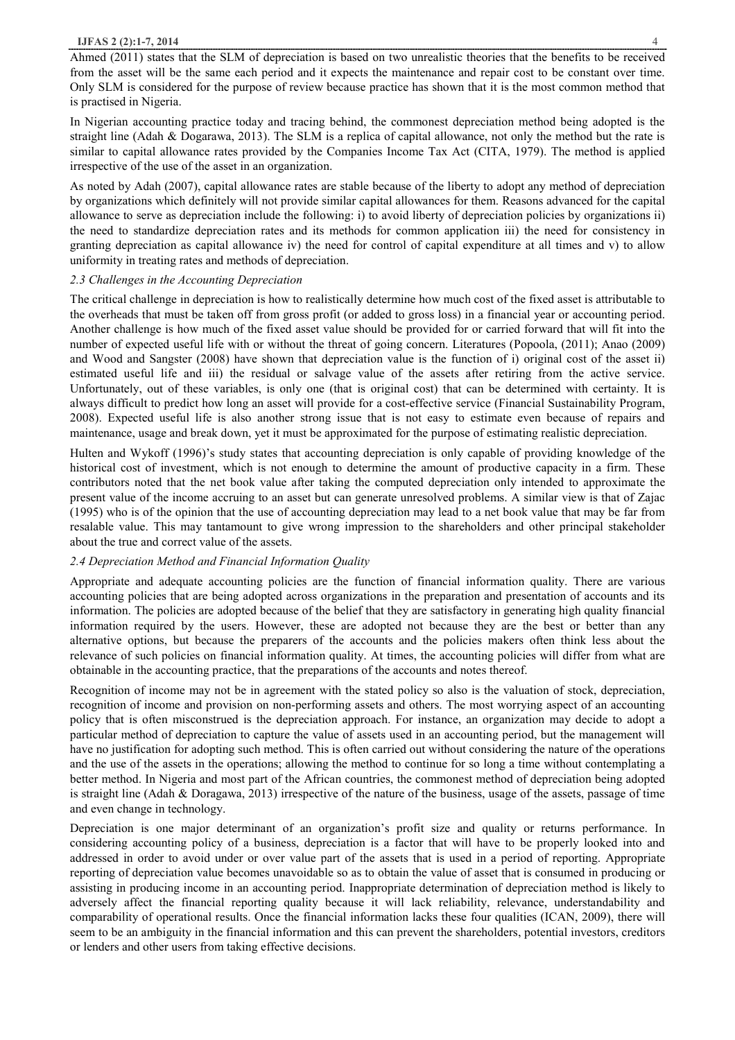# **IJFAS 2 (2):1-7, 2014** 4

Ahmed (2011) states that the SLM of depreciation is based on two unrealistic theories that the benefits to be received from the asset will be the same each period and it expects the maintenance and repair cost to be constant over time. Only SLM is considered for the purpose of review because practice has shown that it is the most common method that is practised in Nigeria.

In Nigerian accounting practice today and tracing behind, the commonest depreciation method being adopted is the straight line (Adah & Dogarawa, 2013). The SLM is a replica of capital allowance, not only the method but the rate is similar to capital allowance rates provided by the Companies Income Tax Act (CITA, 1979). The method is applied irrespective of the use of the asset in an organization.

As noted by Adah (2007), capital allowance rates are stable because of the liberty to adopt any method of depreciation by organizations which definitely will not provide similar capital allowances for them. Reasons advanced for the capital allowance to serve as depreciation include the following: i) to avoid liberty of depreciation policies by organizations ii) the need to standardize depreciation rates and its methods for common application iii) the need for consistency in granting depreciation as capital allowance iv) the need for control of capital expenditure at all times and v) to allow uniformity in treating rates and methods of depreciation.

## *2.3 Challenges in the Accounting Depreciation*

The critical challenge in depreciation is how to realistically determine how much cost of the fixed asset is attributable to the overheads that must be taken off from gross profit (or added to gross loss) in a financial year or accounting period. Another challenge is how much of the fixed asset value should be provided for or carried forward that will fit into the number of expected useful life with or without the threat of going concern. Literatures (Popoola, (2011); Anao (2009) and Wood and Sangster (2008) have shown that depreciation value is the function of i) original cost of the asset ii) estimated useful life and iii) the residual or salvage value of the assets after retiring from the active service. Unfortunately, out of these variables, is only one (that is original cost) that can be determined with certainty. It is always difficult to predict how long an asset will provide for a cost-effective service (Financial Sustainability Program, 2008). Expected useful life is also another strong issue that is not easy to estimate even because of repairs and maintenance, usage and break down, yet it must be approximated for the purpose of estimating realistic depreciation.

Hulten and Wykoff (1996)'s study states that accounting depreciation is only capable of providing knowledge of the historical cost of investment, which is not enough to determine the amount of productive capacity in a firm. These contributors noted that the net book value after taking the computed depreciation only intended to approximate the present value of the income accruing to an asset but can generate unresolved problems. A similar view is that of Zajac (1995) who is of the opinion that the use of accounting depreciation may lead to a net book value that may be far from resalable value. This may tantamount to give wrong impression to the shareholders and other principal stakeholder about the true and correct value of the assets.

# *2.4 Depreciation Method and Financial Information Quality*

Appropriate and adequate accounting policies are the function of financial information quality. There are various accounting policies that are being adopted across organizations in the preparation and presentation of accounts and its information. The policies are adopted because of the belief that they are satisfactory in generating high quality financial information required by the users. However, these are adopted not because they are the best or better than any alternative options, but because the preparers of the accounts and the policies makers often think less about the relevance of such policies on financial information quality. At times, the accounting policies will differ from what are obtainable in the accounting practice, that the preparations of the accounts and notes thereof.

Recognition of income may not be in agreement with the stated policy so also is the valuation of stock, depreciation, recognition of income and provision on non-performing assets and others. The most worrying aspect of an accounting policy that is often misconstrued is the depreciation approach. For instance, an organization may decide to adopt a particular method of depreciation to capture the value of assets used in an accounting period, but the management will have no justification for adopting such method. This is often carried out without considering the nature of the operations and the use of the assets in the operations; allowing the method to continue for so long a time without contemplating a better method. In Nigeria and most part of the African countries, the commonest method of depreciation being adopted is straight line (Adah & Doragawa, 2013) irrespective of the nature of the business, usage of the assets, passage of time and even change in technology.

Depreciation is one major determinant of an organization's profit size and quality or returns performance. In considering accounting policy of a business, depreciation is a factor that will have to be properly looked into and addressed in order to avoid under or over value part of the assets that is used in a period of reporting. Appropriate reporting of depreciation value becomes unavoidable so as to obtain the value of asset that is consumed in producing or assisting in producing income in an accounting period. Inappropriate determination of depreciation method is likely to adversely affect the financial reporting quality because it will lack reliability, relevance, understandability and comparability of operational results. Once the financial information lacks these four qualities (ICAN, 2009), there will seem to be an ambiguity in the financial information and this can prevent the shareholders, potential investors, creditors or lenders and other users from taking effective decisions.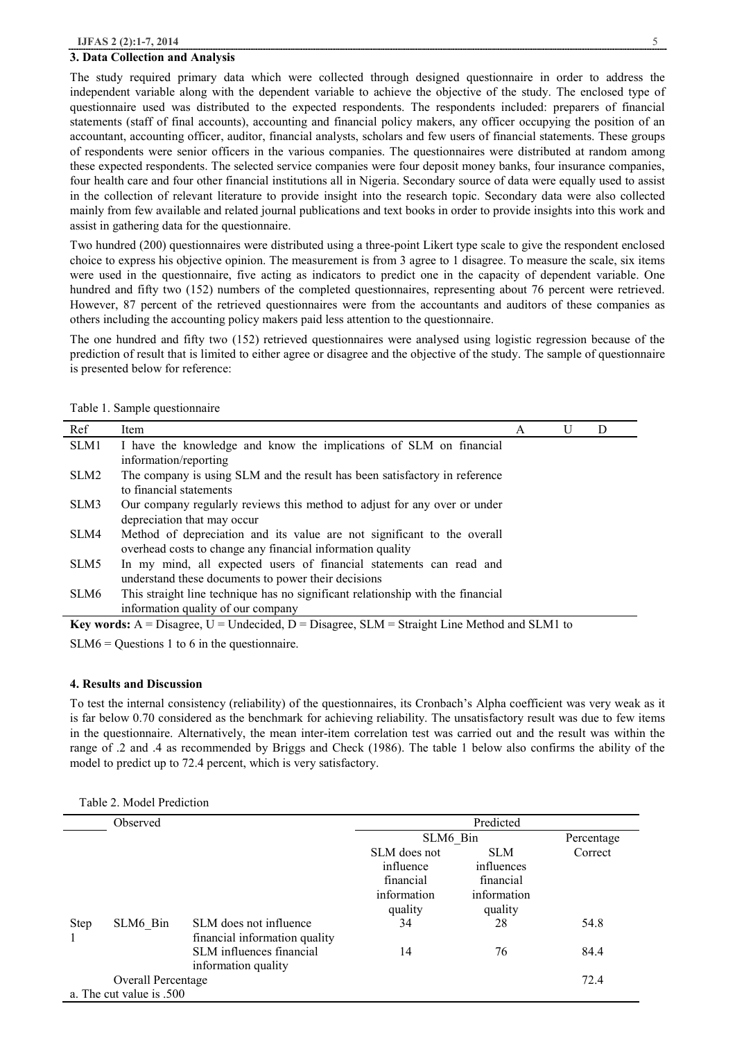#### **3. Data Collection and Analysis**

The study required primary data which were collected through designed questionnaire in order to address the independent variable along with the dependent variable to achieve the objective of the study. The enclosed type of questionnaire used was distributed to the expected respondents. The respondents included: preparers of financial statements (staff of final accounts), accounting and financial policy makers, any officer occupying the position of an accountant, accounting officer, auditor, financial analysts, scholars and few users of financial statements. These groups of respondents were senior officers in the various companies. The questionnaires were distributed at random among these expected respondents. The selected service companies were four deposit money banks, four insurance companies, four health care and four other financial institutions all in Nigeria. Secondary source of data were equally used to assist in the collection of relevant literature to provide insight into the research topic. Secondary data were also collected mainly from few available and related journal publications and text books in order to provide insights into this work and assist in gathering data for the questionnaire.

Two hundred (200) questionnaires were distributed using a three-point Likert type scale to give the respondent enclosed choice to express his objective opinion. The measurement is from 3 agree to 1 disagree. To measure the scale, six items were used in the questionnaire, five acting as indicators to predict one in the capacity of dependent variable. One hundred and fifty two (152) numbers of the completed questionnaires, representing about 76 percent were retrieved. However, 87 percent of the retrieved questionnaires were from the accountants and auditors of these companies as others including the accounting policy makers paid less attention to the questionnaire.

The one hundred and fifty two (152) retrieved questionnaires were analysed using logistic regression because of the prediction of result that is limited to either agree or disagree and the objective of the study. The sample of questionnaire is presented below for reference:

| Ref                                                                                                 | Item                                                                            | A | U | D |  |
|-----------------------------------------------------------------------------------------------------|---------------------------------------------------------------------------------|---|---|---|--|
| SLM1                                                                                                | I have the knowledge and know the implications of SLM on financial              |   |   |   |  |
|                                                                                                     | information/reporting                                                           |   |   |   |  |
| SLM <sub>2</sub>                                                                                    | The company is using SLM and the result has been satisfactory in reference      |   |   |   |  |
|                                                                                                     | to financial statements                                                         |   |   |   |  |
| SLM3                                                                                                | Our company regularly reviews this method to adjust for any over or under       |   |   |   |  |
|                                                                                                     | depreciation that may occur                                                     |   |   |   |  |
| SLM4                                                                                                | Method of depreciation and its value are not significant to the overall         |   |   |   |  |
|                                                                                                     | overhead costs to change any financial information quality                      |   |   |   |  |
| SLM5                                                                                                | In my mind, all expected users of financial statements can read and             |   |   |   |  |
|                                                                                                     | understand these documents to power their decisions                             |   |   |   |  |
| SLM6                                                                                                | This straight line technique has no significant relationship with the financial |   |   |   |  |
|                                                                                                     | information quality of our company                                              |   |   |   |  |
| <b>Key words:</b> A = Disagree, U = Undecided, D = Disagree, SLM = Straight Line Method and SLM1 to |                                                                                 |   |   |   |  |

Table 1. Sample questionnaire

SLM6 = Questions 1 to 6 in the questionnaire.

# **4. Results and Discussion**

To test the internal consistency (reliability) of the questionnaires, its Cronbach's Alpha coefficient was very weak as it is far below 0.70 considered as the benchmark for achieving reliability. The unsatisfactory result was due to few items in the questionnaire. Alternatively, the mean inter-item correlation test was carried out and the result was within the range of .2 and .4 as recommended by Briggs and Check (1986). The table 1 below also confirms the ability of the model to predict up to 72.4 percent, which is very satisfactory.

|  |  |  | Table 2. Model Prediction |
|--|--|--|---------------------------|
|--|--|--|---------------------------|

|             | Observed                  |                               | Predicted    |             |            |  |  |
|-------------|---------------------------|-------------------------------|--------------|-------------|------------|--|--|
|             |                           |                               | SLM6 Bin     |             | Percentage |  |  |
|             |                           |                               | SLM does not | <b>SLM</b>  | Correct    |  |  |
|             |                           |                               | influence    | influences  |            |  |  |
|             |                           |                               | financial    | financial   |            |  |  |
|             |                           |                               | information  | information |            |  |  |
|             |                           |                               | quality      | quality     |            |  |  |
| <b>Step</b> | SLM6 Bin                  | SLM does not influence        | 34           | 28          | 54.8       |  |  |
|             |                           | financial information quality |              |             |            |  |  |
|             |                           | SLM influences financial      | 14           | 76          | 84.4       |  |  |
|             |                           | information quality           |              |             |            |  |  |
|             | <b>Overall Percentage</b> |                               |              |             | 72.4       |  |  |
|             | a. The cut value is .500  |                               |              |             |            |  |  |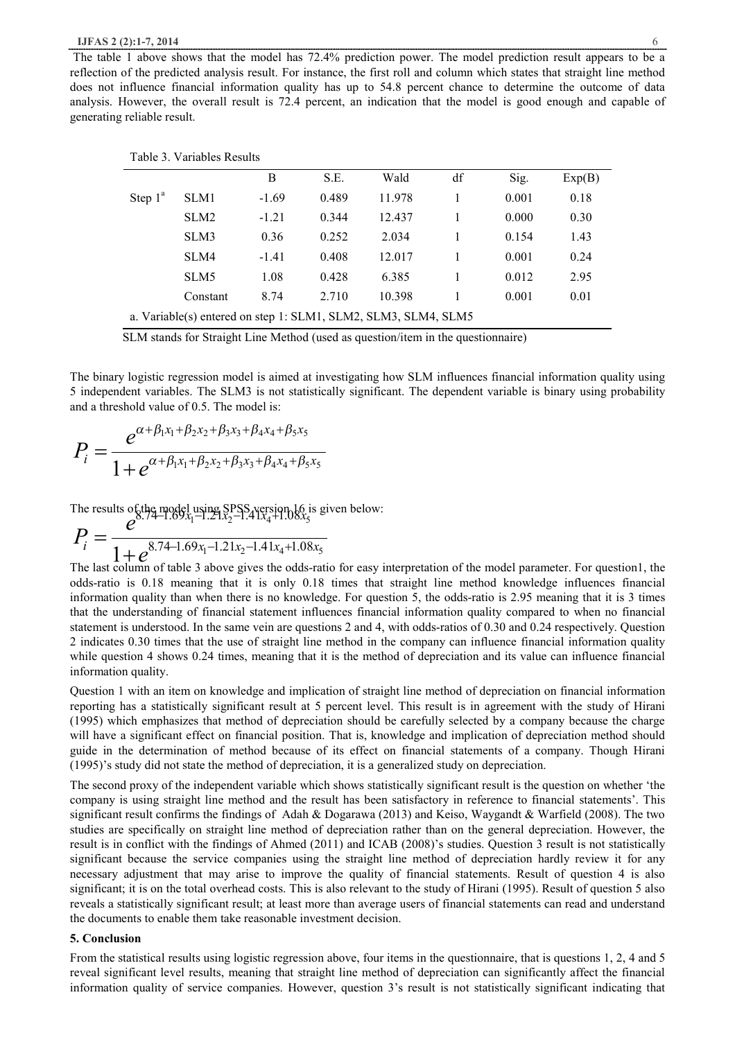The table 1 above shows that the model has 72.4% prediction power. The model prediction result appears to be a reflection of the predicted analysis result. For instance, the first roll and column which states that straight line method does not influence financial information quality has up to 54.8 percent chance to determine the outcome of data analysis. However, the overall result is 72.4 percent, an indication that the model is good enough and capable of generating reliable result.

| Table 3. Variables Results                                     |                  |         |       |        |    |       |        |
|----------------------------------------------------------------|------------------|---------|-------|--------|----|-------|--------|
|                                                                |                  | B       | S.E.  | Wald   | df | Sig.  | Exp(B) |
| Step $1^a$                                                     | SLM1             | $-1.69$ | 0.489 | 11.978 |    | 0.001 | 0.18   |
|                                                                | SLM <sub>2</sub> | $-1.21$ | 0.344 | 12.437 |    | 0.000 | 0.30   |
|                                                                | SLM3             | 0.36    | 0.252 | 2.034  |    | 0.154 | 1.43   |
|                                                                | SLM4             | $-1.41$ | 0.408 | 12.017 |    | 0.001 | 0.24   |
|                                                                | SLM <sub>5</sub> | 1.08    | 0.428 | 6.385  |    | 0.012 | 2.95   |
|                                                                | Constant         | 8.74    | 2.710 | 10.398 |    | 0.001 | 0.01   |
| a. Variable(s) entered on step 1: SLM1, SLM2, SLM3, SLM4, SLM5 |                  |         |       |        |    |       |        |

SLM stands for Straight Line Method (used as question/item in the questionnaire)

The binary logistic regression model is aimed at investigating how SLM influences financial information quality using 5 independent variables. The SLM3 is not statistically significant. The dependent variable is binary using probability and a threshold value of  $0.5$ . The model is:

$$
P_i = \frac{e^{\alpha + \beta_1 x_1 + \beta_2 x_2 + \beta_3 x_3 + \beta_4 x_4 + \beta_5 x_5}}{1 + e^{\alpha + \beta_1 x_1 + \beta_2 x_2 + \beta_3 x_3 + \beta_4 x_4 + \beta_5 x_5}}
$$

The results of the model using  $SPSS_A$  version  $16$  is given below:

$$
P_i = \frac{e^{8.74 - 1.69x_1 - 1.21x_2 - 1.41x_4 + 1.08x_5}}{1 + e^{8.74 - 1.69x_1 - 1.21x_2 - 1.41x_4 + 1.08x_5}}
$$

<sup>r</sup>  $l$   $1 + e^{8.74 - 1.69x_1 - 1.21x_2 - 1.41x_4 + 1.08x_5}$ <br>The last column of table 3 above gives the odds-ratio for easy interpretation of the model parameter. For question1, the odds-ratio is 0.18 meaning that it is only 0.18 times that straight line method knowledge influences financial information quality than when there is no knowledge. For question 5, the odds-ratio is 2.95 meaning that it is 3 times that the understanding of financial statement influences financial information quality compared to when no financial statement is understood. In the same vein are questions 2 and 4, with odds-ratios of 0.30 and 0.24 respectively. Question 2 indicates 0.30 times that the use of straight line method in the company can influence financial information quality while question 4 shows 0.24 times, meaning that it is the method of depreciation and its value can influence financial information quality.

Question 1 with an item on knowledge and implication of straight line method of depreciation on financial information reporting has a statistically significant result at 5 percent level. This result is in agreement with the study of Hirani (1995) which emphasizes that method of depreciation should be carefully selected by a company because the charge will have a significant effect on financial position. That is, knowledge and implication of depreciation method should guide in the determination of method because of its effect on financial statements of a company. Though Hirani (1995)'s study did not state the method of depreciation, it is a generalized study on depreciation.

The second proxy of the independent variable which shows statistically significant result is the question on whether 'the company is using straight line method and the result has been satisfactory in reference to financial statements'. This significant result confirms the findings of Adah & Dogarawa (2013) and Keiso, Waygandt & Warfield (2008). The two studies are specifically on straight line method of depreciation rather than on the general depreciation. However, the result is in conflict with the findings of Ahmed (2011) and ICAB (2008)'s studies. Question 3 result is not statistically significant because the service companies using the straight line method of depreciation hardly review it for any necessary adjustment that may arise to improve the quality of financial statements. Result of question 4 is also significant; it is on the total overhead costs. This is also relevant to the study of Hirani (1995). Result of question 5 also reveals a statistically significant result; at least more than average users of financial statements can read and understand the documents to enable them take reasonable investment decision.

## **5. Conclusion**

From the statistical results using logistic regression above, four items in the questionnaire, that is questions 1, 2, 4 and 5 reveal significant level results, meaning that straight line method of depreciation can significantly affect the financial information quality of service companies. However, question 3's result is not statistically significant indicating that